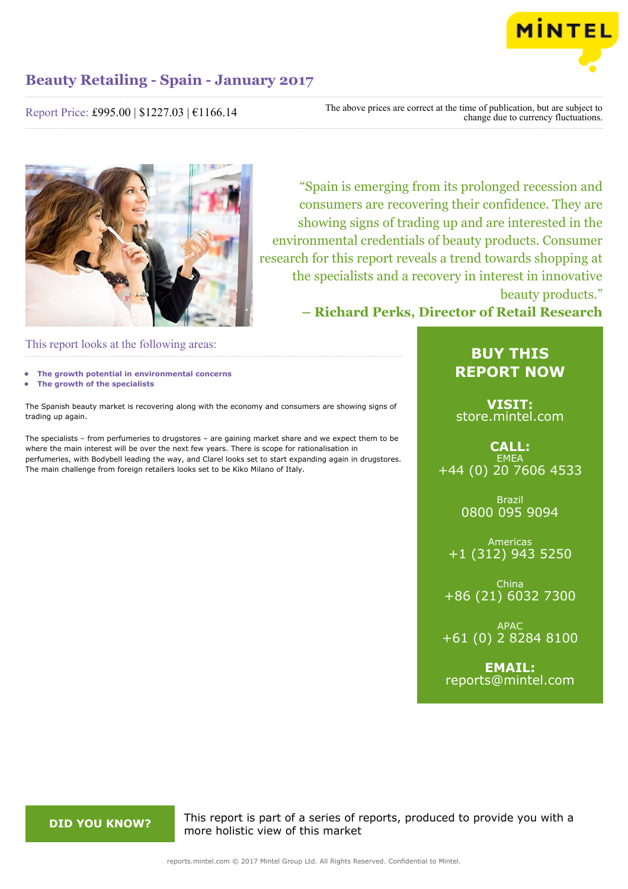

Report Price: £995.00 | \$1227.03 | €1166.14

The above prices are correct at the time of publication, but are subject to change due to currency fluctuations.



"Spain is emerging from its prolonged recession and consumers are recovering their confidence. They are showing signs of trading up and are interested in the environmental credentials of beauty products. Consumer research for this report reveals a trend towards shopping at the specialists and a recovery in interest in innovative beauty products."

**– Richard Perks, Director of Retail Research**

This report looks at the following areas:

- **• The growth potential in environmental concerns**
- **• The growth of the specialists**

The Spanish beauty market is recovering along with the economy and consumers are showing signs of trading up again.

The specialists – from perfumeries to drugstores – are gaining market share and we expect them to be where the main interest will be over the next few years. There is scope for rationalisation in perfumeries, with Bodybell leading the way, and Clarel looks set to start expanding again in drugstores. The main challenge from foreign retailers looks set to be Kiko Milano of Italy.

## **BUY THIS REPORT NOW**

**VISIT:** [store.mintel.com](http://reports.mintel.com//display/store/792459/)

## **CALL: EMEA** +44 (0) 20 7606 4533

Brazil 0800 095 9094

Americas +1 (312) 943 5250

China +86 (21) 6032 7300

APAC +61 (0) 2 8284 8100

**EMAIL:** [reports@mintel.com](mailto:reports@mintel.com)

**DID YOU KNOW?** This report is part of a series of reports, produced to provide you with a more holistic view of this market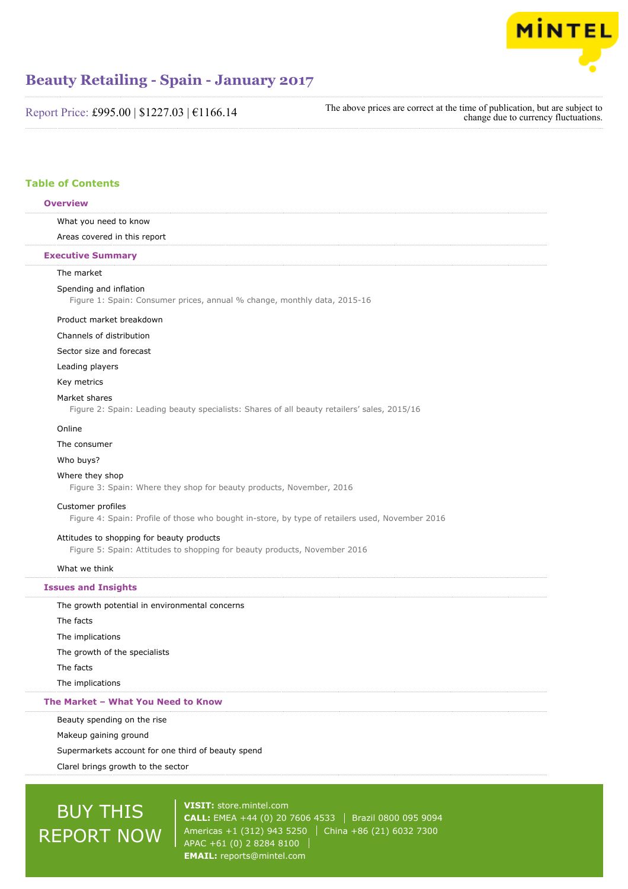

Report Price: £995.00 | \$1227.03 | €1166.14

The above prices are correct at the time of publication, but are subject to change due to currency fluctuations.

## **Table of Contents**

#### **Overview**

What you need to know

Areas covered in this report

#### **Executive Summary**

### The market

#### Spending and inflation

Figure 1: Spain: Consumer prices, annual % change, monthly data, 2015-16

#### Product market breakdown

#### Channels of distribution

#### Sector size and forecast

Leading players

Key metrics

#### Market shares

Figure 2: Spain: Leading beauty specialists: Shares of all beauty retailers' sales, 2015/16

#### Online

The consumer

#### Who buys?

#### Where they shop

Figure 3: Spain: Where they shop for beauty products, November, 2016

#### Customer profiles

Figure 4: Spain: Profile of those who bought in-store, by type of retailers used, November 2016

#### Attitudes to shopping for beauty products

Figure 5: Spain: Attitudes to shopping for beauty products, November 2016

#### What we think

#### **Issues and Insights**

The growth potential in environmental concerns The facts The implications The growth of the specialists The facts The implications

## **The Market – What You Need to Know**

Beauty spending on the rise

Makeup gaining ground

Supermarkets account for one third of beauty spend

Clarel brings growth to the sector

# BUY THIS REPORT NOW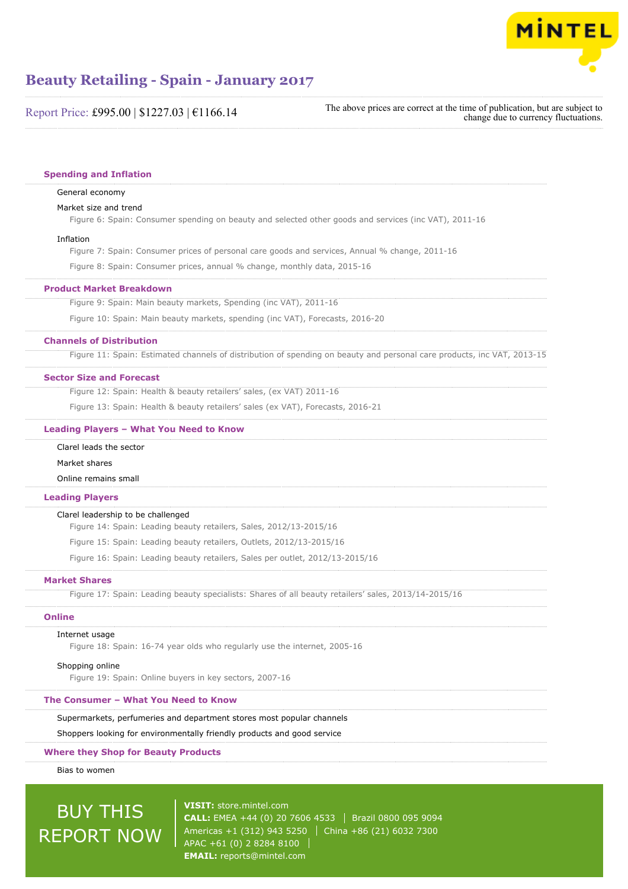

Report Price: £995.00 | \$1227.03 | €1166.14

The above prices are correct at the time of publication, but are subject to change due to currency fluctuations.

#### **Spending and Inflation**

#### General economy

#### Market size and trend

Figure 6: Spain: Consumer spending on beauty and selected other goods and services (inc VAT), 2011-16

#### Inflation

Figure 7: Spain: Consumer prices of personal care goods and services, Annual % change, 2011-16

Figure 8: Spain: Consumer prices, annual % change, monthly data, 2015-16

#### **Product Market Breakdown**

Figure 9: Spain: Main beauty markets, Spending (inc VAT), 2011-16

Figure 10: Spain: Main beauty markets, spending (inc VAT), Forecasts, 2016-20

#### **Channels of Distribution**

Figure 11: Spain: Estimated channels of distribution of spending on beauty and personal care products, inc VAT, 2013-15

#### **Sector Size and Forecast**

Figure 12: Spain: Health & beauty retailers' sales, (ex VAT) 2011-16

Figure 13: Spain: Health & beauty retailers' sales (ex VAT), Forecasts, 2016-21

#### **Leading Players – What You Need to Know**

Clarel leads the sector

#### Market shares

Online remains small

#### **Leading Players**

#### Clarel leadership to be challenged

Figure 14: Spain: Leading beauty retailers, Sales, 2012/13-2015/16

Figure 15: Spain: Leading beauty retailers, Outlets, 2012/13-2015/16

Figure 16: Spain: Leading beauty retailers, Sales per outlet, 2012/13-2015/16

#### **Market Shares**

Figure 17: Spain: Leading beauty specialists: Shares of all beauty retailers' sales, 2013/14-2015/16

#### **Online**

#### Internet usage

Figure 18: Spain: 16-74 year olds who regularly use the internet, 2005-16

#### Shopping online

Figure 19: Spain: Online buyers in key sectors, 2007-16

### **The Consumer – What You Need to Know**

Supermarkets, perfumeries and department stores most popular channels

Shoppers looking for environmentally friendly products and good service

#### **Where they Shop for Beauty Products**

Bias to women

# BUY THIS REPORT NOW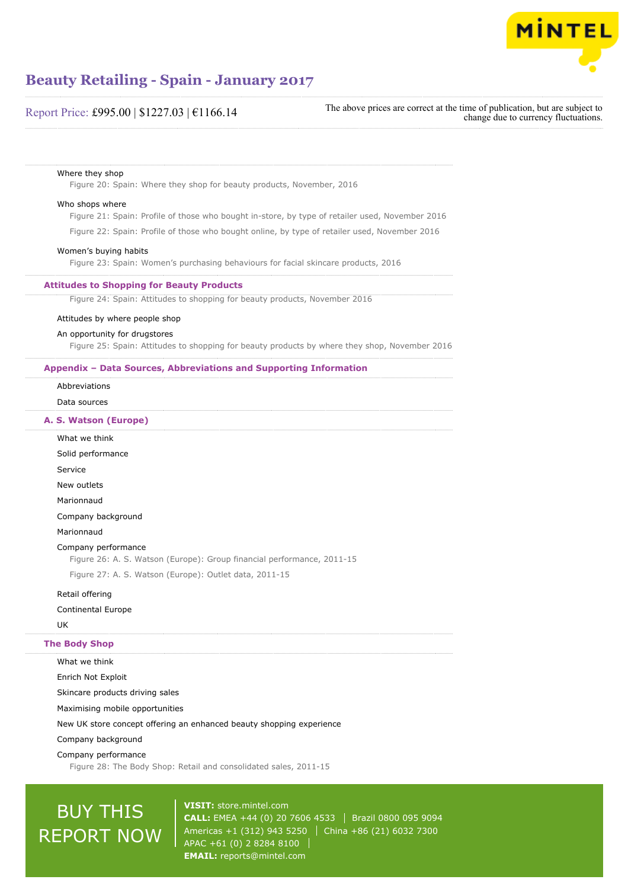

## Report Price: £995.00 | \$1227.03 | €1166.14

The above prices are correct at the time of publication, but are subject to change due to currency fluctuations.

#### Where they shop

Figure 20: Spain: Where they shop for beauty products, November, 2016

#### Who shops where

Figure 21: Spain: Profile of those who bought in-store, by type of retailer used, November 2016

Figure 22: Spain: Profile of those who bought online, by type of retailer used, November 2016

#### Women's buying habits

Figure 23: Spain: Women's purchasing behaviours for facial skincare products, 2016

#### **Attitudes to Shopping for Beauty Products**

Figure 24: Spain: Attitudes to shopping for beauty products, November 2016

#### Attitudes by where people shop

#### An opportunity for drugstores

Figure 25: Spain: Attitudes to shopping for beauty products by where they shop, November 2016

#### **Appendix – Data Sources, Abbreviations and Supporting Information**

Abbreviations

Data sources

#### **A. S. Watson (Europe)**

What we think Solid performance Service New outlets Marionnaud Company background Marionnaud Company performance Figure 26: A. S. Watson (Europe): Group financial performance, 2011-15 Figure 27: A. S. Watson (Europe): Outlet data, 2011-15 Retail offering Continental Europe

#### UK

#### **The Body Shop**

What we think

Enrich Not Exploit

Skincare products driving sales

Maximising mobile opportunities

New UK store concept offering an enhanced beauty shopping experience

#### Company background

Company performance

Figure 28: The Body Shop: Retail and consolidated sales, 2011-15

# BUY THIS REPORT NOW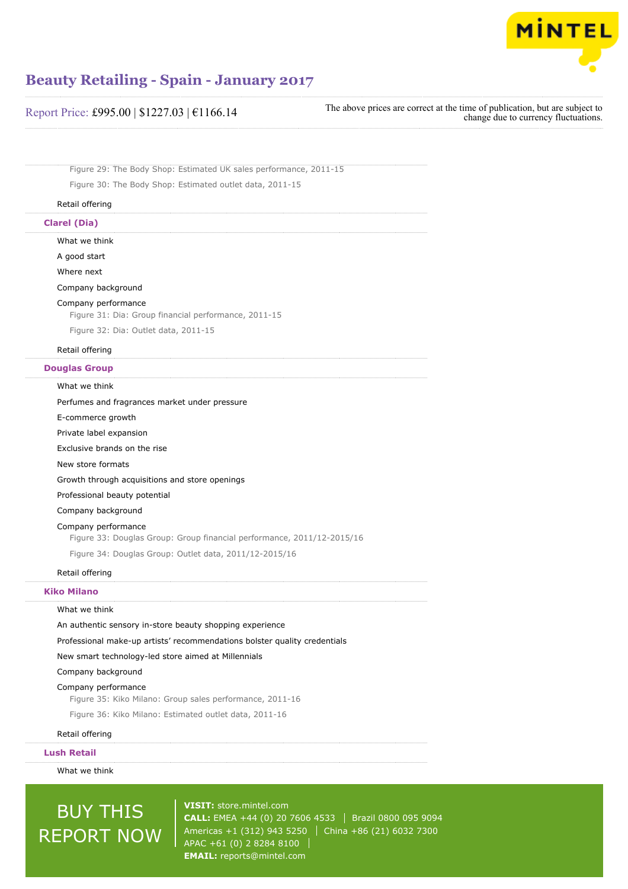

| Report Price: £995.00   \$1227.03   €1166.14 |  |
|----------------------------------------------|--|
|----------------------------------------------|--|

The above prices are correct at the time of publication, but are subject to change due to currency fluctuations.

Figure 29: The Body Shop: Estimated UK sales performance, 2011-15 Figure 30: The Body Shop: Estimated outlet data, 2011-15

#### Retail offering

### **Clarel (Dia)**

What we think

A good start

Where next

#### Company background

#### Company performance

Figure 31: Dia: Group financial performance, 2011-15

Figure 32: Dia: Outlet data, 2011-15

#### Retail offering

### **Douglas Group**

#### What we think

Perfumes and fragrances market under pressure E-commerce growth Private label expansion Exclusive brands on the rise New store formats Growth through acquisitions and store openings Professional beauty potential Company background Company performance Figure 33: Douglas Group: Group financial performance, 2011/12-2015/16 Figure 34: Douglas Group: Outlet data, 2011/12-2015/16 Retail offering

#### **Kiko Milano**

#### What we think

An authentic sensory in-store beauty shopping experience

Professional make-up artists' recommendations bolster quality credentials

New smart technology-led store aimed at Millennials

#### Company background

#### Company performance

Figure 35: Kiko Milano: Group sales performance, 2011-16 Figure 36: Kiko Milano: Estimated outlet data, 2011-16

Retail offering

#### **Lush Retail**

What we think

# BUY THIS REPORT NOW